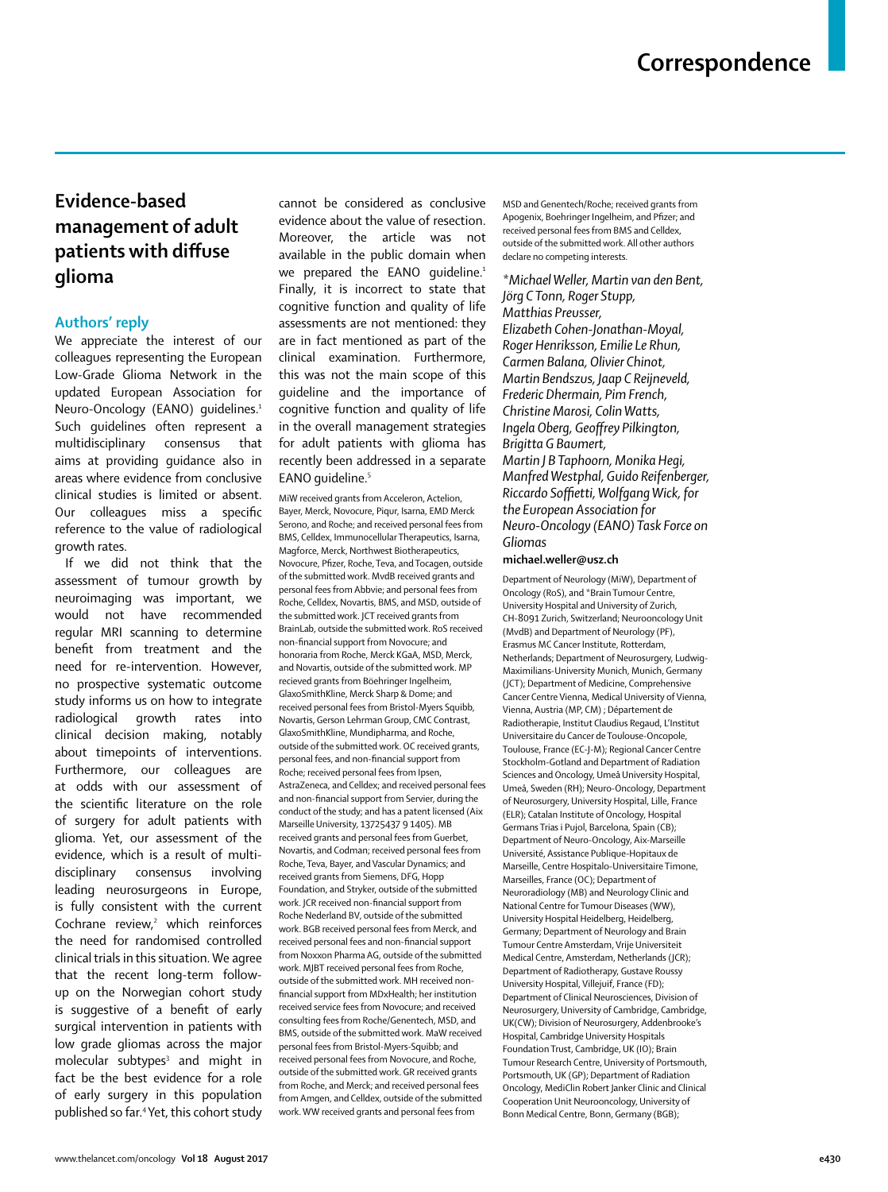## **Evidence-based management of adult patients with diffuse glioma**

## **Authors' reply**

We appreciate the interest of our colleagues representing the European Low-Grade Glioma Network in the updated European Association for Neuro-Oncology (EANO) quidelines.<sup>1</sup> Such guidelines often represent a multidisciplinary consensus that aims at providing guidance also in areas where evidence from conclusive clinical studies is limited or absent. Our colleagues miss a specific reference to the value of radiological growth rates.

If we did not think that the assessment of tumour growth by neuroimaging was important, we would not have recommended regular MRI scanning to determine benefit from treatment and the need for re-intervention. However, no prospective systematic outcome study informs us on how to integrate radiological growth rates into clinical decision making, notably about timepoints of interventions. Furthermore, our colleagues are at odds with our assessment of the scientific literature on the role of surgery for adult patients with glioma. Yet, our assessment of the evidence, which is a result of multidisciplinary consensus involving leading neurosurgeons in Europe, is fully consistent with the current Cochrane review,<sup>2</sup> which reinforces the need for randomised controlled clinical trials in this situation. We agree that the recent long-term followup on the Norwegian cohort study is suggestive of a benefit of early surgical intervention in patients with low grade gliomas across the major molecular subtypes<sup>3</sup> and might in fact be the best evidence for a role of early surgery in this population published so far.4 Yet, this cohort study cannot be considered as conclusive evidence about the value of resection. Moreover, the article was not available in the public domain when we prepared the EANO quideline.<sup>1</sup> Finally, it is incorrect to state that cognitive function and quality of life assessments are not mentioned: they are in fact mentioned as part of the clinical examination. Furthermore, this was not the main scope of this guideline and the importance of cognitive function and quality of life in the overall management strategies for adult patients with glioma has recently been addressed in a separate EANO quideline.<sup>5</sup>

MiW received grants from Acceleron, Actelion, Bayer, Merck, Novocure, Piqur, Isarna, EMD Merck Serono, and Roche; and received personal fees from BMS, Celldex, Immunocellular Therapeutics, Isarna, Magforce, Merck, Northwest Biotherapeutics, Novocure, Pfizer, Roche, Teva, and Tocagen, outside of the submitted work. MvdB received grants and personal fees from Abbvie; and personal fees from Roche, Celldex, Novartis, BMS, and MSD, outside of the submitted work. JCT received grants from BrainLab, outside the submitted work. RoS received non-financial support from Novocure; and honoraria from Roche, Merck KGaA, MSD, Merck, and Novartis, outside of the submitted work. MP recieved grants from Böehringer Ingelheim, GlaxoSmithKline, Merck Sharp & Dome; and received personal fees from Bristol-Myers Squibb, Novartis, Gerson Lehrman Group, CMC Contrast, GlaxoSmithKline, Mundipharma, and Roche, outside of the submitted work. OC received grants, personal fees, and non-financial support from Roche; received personal fees from Ipsen, AstraZeneca, and Celldex; and received personal fees and non-financial support from Servier, during the conduct of the study; and has a patent licensed (Aix Marseille University, 13725437 9 1405). MB received grants and personal fees from Guerbet, Novartis, and Codman; received personal fees from Roche, Teva, Bayer, and Vascular Dynamics; and received grants from Siemens, DFG, Hopp Foundation, and Stryker, outside of the submitted work. JCR received non-financial support from Roche Nederland BV, outside of the submitted work. BGB received personal fees from Merck, and received personal fees and non-financial support from Noxxon Pharma AG, outside of the submitted work. MJBT received personal fees from Roche, outside of the submitted work. MH received nonfinancial support from MDxHealth; her institution received service fees from Novocure; and received consulting fees from Roche/Genentech, MSD, and BMS, outside of the submitted work. MaW received personal fees from Bristol-Myers-Squibb; and received personal fees from Novocure, and Roche, outside of the submitted work. GR received grants from Roche, and Merck; and received personal fees from Amgen, and Celldex, outside of the submitted work. WW received grants and personal fees from

MSD and Genentech/Roche; received grants from Apogenix, Boehringer Ingelheim, and Pfizer; and received personal fees from BMS and Celldex, outside of the submitted work. All other authors declare no competing interests.

## *\*Michael Weller, Martin van den Bent, Jörg C Tonn, Roger Stupp, Matthias Preusser,*

*Elizabeth Cohen-Jonathan-Moyal, Roger Henriksson, Emilie Le Rhun, Carmen Balana, Olivier Chinot, Martin Bendszus, Jaap C Reijneveld, Frederic Dhermain, Pim French, Christine Marosi, Colin Watts, Ingela Oberg, Geoffrey Pilkington, Brigitta G Baumert, Martin J B Taphoorn, Monika Hegi, Manfred Westphal, Guido Reifenberger, Riccardo Soffietti, Wolfgang Wick, for the European Association for Neuro-Oncology (EANO) Task Force on Gliomas*

## **michael.weller@usz.ch**

Department of Neurology (MiW), Department of Oncology (RoS), and \*Brain Tumour Centre, University Hospital and University of Zurich, CH-8091 Zurich, Switzerland; Neurooncology Unit (MvdB) and Department of Neurology (PF), Erasmus MC Cancer Institute, Rotterdam, Netherlands; Department of Neurosurgery, Ludwig-Maximilians-University Munich, Munich, Germany (JCT); Department of Medicine, Comprehensive Cancer Centre Vienna, Medical University of Vienna, Vienna, Austria (MP, CM) ; Département de Radiotherapie, Institut Claudius Regaud, L'Institut Universitaire du Cancer de Toulouse-Oncopole, Toulouse, France (EC-J-M); Regional Cancer Centre Stockholm-Gotland and Department of Radiation Sciences and Oncology, Umeå University Hospital, Umeå, Sweden (RH); Neuro-Oncology, Department of Neurosurgery, University Hospital, Lille, France (ELR); Catalan Institute of Oncology, Hospital Germans Trias i Pujol, Barcelona, Spain (CB); Department of Neuro-Oncology, Aix-Marseille Université, Assistance Publique-Hopitaux de Marseille, Centre Hospitalo-Universitaire Timone, Marseilles, France (OC); Department of Neuroradiology (MB) and Neurology Clinic and National Centre for Tumour Diseases (WW), University Hospital Heidelberg, Heidelberg, Germany; Department of Neurology and Brain Tumour Centre Amsterdam, Vrije Universiteit Medical Centre, Amsterdam, Netherlands (JCR); Department of Radiotherapy, Gustave Roussy University Hospital, Villejuif, France (FD); Department of Clinical Neurosciences, Division of Neurosurgery, University of Cambridge, Cambridge, UK(CW); Division of Neurosurgery, Addenbrooke's Hospital, Cambridge University Hospitals Foundation Trust, Cambridge, UK (IO); Brain Tumour Research Centre, University of Portsmouth, Portsmouth, UK (GP); Department of Radiation Oncology, MediClin Robert Janker Clinic and Clinical Cooperation Unit Neurooncology, University of Bonn Medical Centre, Bonn, Germany (BGB);